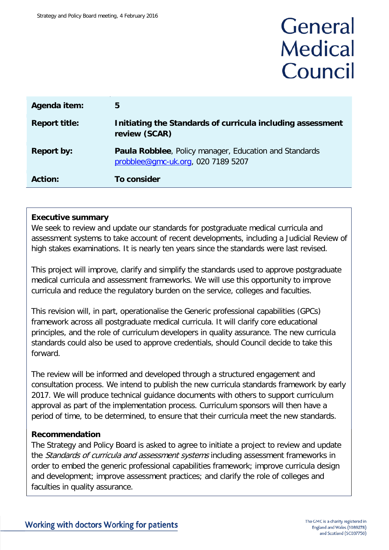# General **Medical** Council

| Agenda item:         | 5                                                                                                   |
|----------------------|-----------------------------------------------------------------------------------------------------|
| <b>Report title:</b> | Initiating the Standards of curricula including assessment<br>review (SCAR)                         |
| <b>Report by:</b>    | <b>Paula Robblee, Policy manager, Education and Standards</b><br>probblee@gmc-uk.org, 020 7189 5207 |
| <b>Action:</b>       | To consider                                                                                         |

#### **Executive summary**

We seek to review and update our standards for postgraduate medical curricula and assessment systems to take account of recent developments, including a Judicial Review of high stakes examinations. It is nearly ten years since the standards were last revised.

This project will improve, clarify and simplify the standards used to approve postgraduate medical curricula and assessment frameworks. We will use this opportunity to improve curricula and reduce the regulatory burden on the service, colleges and faculties.

This revision will, in part, operationalise the Generic professional capabilities (GPCs) framework across all postgraduate medical curricula. It will clarify core educational principles, and the role of curriculum developers in quality assurance. The new curricula standards could also be used to approve credentials, should Council decide to take this forward.

The review will be informed and developed through a structured engagement and consultation process. We intend to publish the new curricula standards framework by early 2017. We will produce technical guidance documents with others to support curriculum approval as part of the implementation process. Curriculum sponsors will then have a period of time, to be determined, to ensure that their curricula meet the new standards.

#### **Recommendation**

The Strategy and Policy Board is asked to agree to initiate a project to review and update the *Standards of curricula and assessment systems* including assessment frameworks in order to embed the generic professional capabilities framework; improve curricula design and development; improve assessment practices; and clarify the role of colleges and faculties in quality assurance.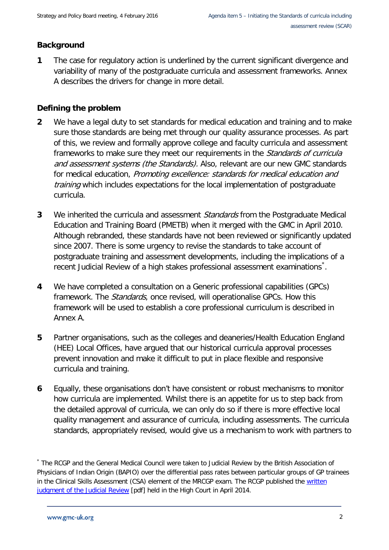#### **Background**

**1** The case for regulatory action is underlined by the current significant divergence and variability of many of the postgraduate curricula and assessment frameworks. Annex A describes the drivers for change in more detail.

#### **Defining the problem**

- **2** We have a legal duty to set standards for medical education and training and to make sure those standards are being met through our quality assurance processes. As part of this, we review and formally approve college and faculty curricula and assessment frameworks to make sure they meet our requirements in the Standards of curricula and assessment systems (the Standards). Also, relevant are our new GMC standards for medical education, Promoting excellence: standards for medical education and training which includes expectations for the local implementation of postgraduate curricula.
- **3** We inherited the curricula and assessment Standards from the Postgraduate Medical Education and Training Board (PMETB) when it merged with the GMC in April 2010. Although rebranded, these standards have not been reviewed or significantly updated since 2007. There is some urgency to revise the standards to take account of postgraduate training and assessment developments, including the implications of a recent Judicial Review of a high stakes professional assessment examinations[\\*](#page-1-0).
- **4** We have completed a consultation on a Generic professional capabilities (GPCs) framework. The *Standards*, once revised, will operationalise GPCs. How this framework will be used to establish a core professional curriculum is described in Annex A.
- **5** Partner organisations, such as the colleges and deaneries/Health Education England (HEE) Local Offices, have argued that our historical curricula approval processes prevent innovation and make it difficult to put in place flexible and responsive curricula and training.
- **6** Equally, these organisations don't have consistent or robust mechanisms to monitor how curricula are implemented. Whilst there is an appetite for us to step back from the detailed approval of curricula, we can only do so if there is more effective local quality management and assurance of curricula, including assessments. The curricula standards, appropriately revised, would give us a mechanism to work with partners to

<span id="page-1-0"></span><sup>\*</sup> The RCGP and the General Medical Council were taken to Judicial Review by the British Association of Physicians of Indian Origin (BAPIO) over the differential pass rates between particular groups of GP trainees in the Clinical Skills Assessment (CSA) element of the MRCGP exam. The RCGP published the written [judgment of the Judicial Review](http://www.rcgp.org.uk/news/2014/may/~/media/Files/News/Judicial-Review-Judgment-14-April-2014.ashx) [pdf] held in the High Court in April 2014.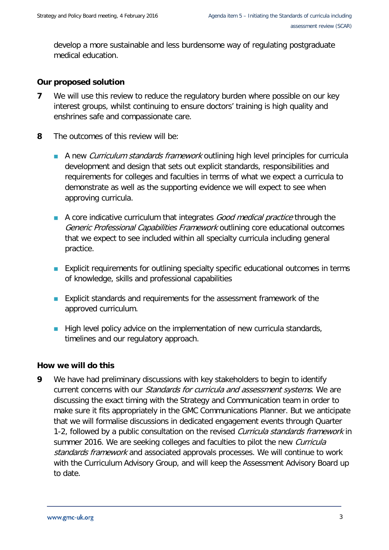develop a more sustainable and less burdensome way of regulating postgraduate medical education.

#### **Our proposed solution**

- **7** We will use this review to reduce the regulatory burden where possible on our key interest groups, whilst continuing to ensure doctors' training is high quality and enshrines safe and compassionate care.
- **8** The outcomes of this review will be:
	- A new *Curriculum standards framework* outlining high level principles for curricula development and design that sets out explicit standards, responsibilities and requirements for colleges and faculties in terms of what we expect a curricula to demonstrate as well as the supporting evidence we will expect to see when approving curricula.
	- A core indicative curriculum that integrates *Good medical practice* through the Generic Professional Capabilities Framework outlining core educational outcomes that we expect to see included within all specialty curricula including general practice.
	- **Explicit requirements for outlining specialty specific educational outcomes in terms** of knowledge, skills and professional capabilities
	- **Explicit standards and requirements for the assessment framework of the** approved curriculum.
	- **High level policy advice on the implementation of new curricula standards,** timelines and our regulatory approach.

#### **How we will do this**

**9** We have had preliminary discussions with key stakeholders to begin to identify current concerns with our Standards for curricula and assessment systems. We are discussing the exact timing with the Strategy and Communication team in order to make sure it fits appropriately in the GMC Communications Planner. But we anticipate that we will formalise discussions in dedicated engagement events through Quarter 1-2, followed by a public consultation on the revised *Curricula standards framework* in summer 2016. We are seeking colleges and faculties to pilot the new *Curricula* standards framework and associated approvals processes. We will continue to work with the Curriculum Advisory Group, and will keep the Assessment Advisory Board up to date.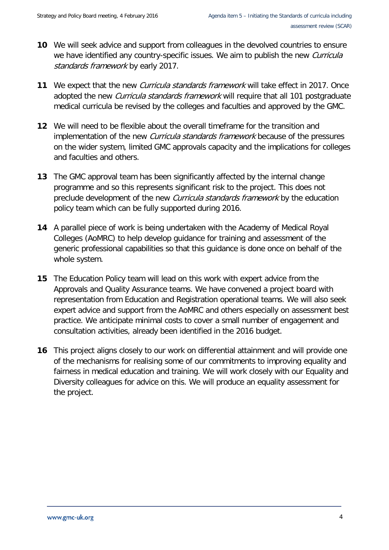- **10** We will seek advice and support from colleagues in the devolved countries to ensure we have identified any country-specific issues. We aim to publish the new *Curricula* standards framework by early 2017.
- **11** We expect that the new Curricula standards framework will take effect in 2017. Once adopted the new *Curricula standards framework* will require that all 101 postgraduate medical curricula be revised by the colleges and faculties and approved by the GMC.
- **12** We will need to be flexible about the overall timeframe for the transition and implementation of the new *Curricula standards framework* because of the pressures on the wider system, limited GMC approvals capacity and the implications for colleges and faculties and others.
- **13** The GMC approval team has been significantly affected by the internal change programme and so this represents significant risk to the project. This does not preclude development of the new *Curricula standards framework* by the education policy team which can be fully supported during 2016.
- **14** A parallel piece of work is being undertaken with the Academy of Medical Royal Colleges (AoMRC) to help develop guidance for training and assessment of the generic professional capabilities so that this guidance is done once on behalf of the whole system.
- **15** The Education Policy team will lead on this work with expert advice from the Approvals and Quality Assurance teams. We have convened a project board with representation from Education and Registration operational teams. We will also seek expert advice and support from the AoMRC and others especially on assessment best practice. We anticipate minimal costs to cover a small number of engagement and consultation activities, already been identified in the 2016 budget.
- **16** This project aligns closely to our work on differential attainment and will provide one of the mechanisms for realising some of our commitments to improving equality and fairness in medical education and training. We will work closely with our Equality and Diversity colleagues for advice on this. We will produce an equality assessment for the project.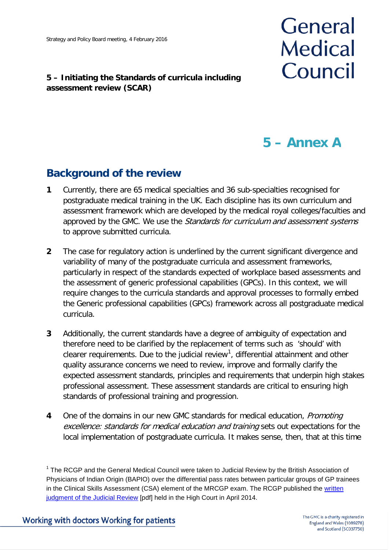#### **5 – Initiating the Standards of curricula including assessment review (SCAR)**

# General **Medical** Council

## **5 – Annex A**

### **Background of the review**

- **1** Currently, there are 65 medical specialties and 36 sub-specialties recognised for postgraduate medical training in the UK. Each discipline has its own curriculum and assessment framework which are developed by the medical royal colleges/faculties and approved by the GMC. We use the Standards for curriculum and assessment systems to approve submitted curricula.
- **2** The case for regulatory action is underlined by the current significant divergence and variability of many of the postgraduate curricula and assessment frameworks, particularly in respect of the standards expected of workplace based assessments and the assessment of generic professional capabilities (GPCs). In this context, we will require changes to the curricula standards and approval processes to formally embed the Generic professional capabilities (GPCs) framework across all postgraduate medical curricula.
- **3** Additionally, the current standards have a degree of ambiguity of expectation and therefore need to be clarified by the replacement of terms such as 'should' with clearer requirements. Due to the judicial review<sup>[1](#page-4-0)</sup>, differential attainment and other quality assurance concerns we need to review, improve and formally clarify the expected assessment standards, principles and requirements that underpin high stakes professional assessment. These assessment standards are critical to ensuring high standards of professional training and progression.
- **4** One of the domains in our new GMC standards for medical education, *Promoting* excellence: standards for medical education and training sets out expectations for the local implementation of postgraduate curricula. It makes sense, then, that at this time

<span id="page-4-0"></span><sup>&</sup>lt;sup>1</sup> The RCGP and the General Medical Council were taken to Judicial Review by the British Association of Physicians of Indian Origin (BAPIO) over the differential pass rates between particular groups of GP trainees in the Clinical Skills Assessment (CSA) element of the MRCGP exam. The RCGP published the written [judgment of the Judicial Review](http://www.rcgp.org.uk/news/2014/may/~/media/Files/News/Judicial-Review-Judgment-14-April-2014.ashx) [pdf] held in the High Court in April 2014.